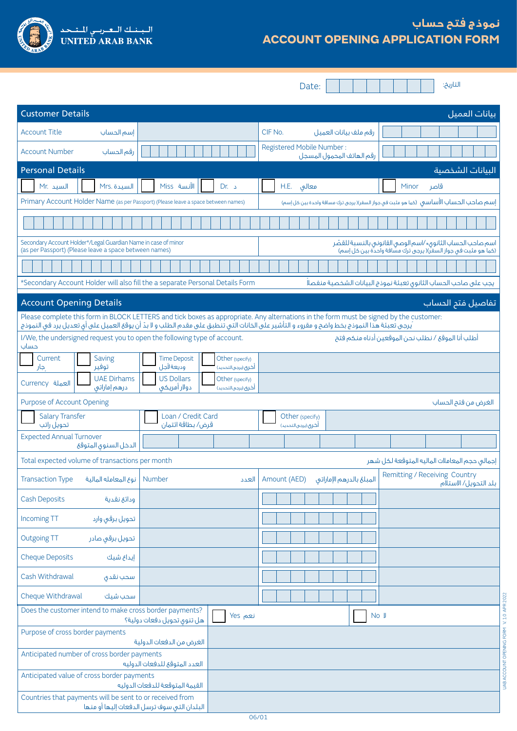

# **نموذج فتح حساب ACCOUNT OPENING APPLICATION FORM**

Date:

التاريخ:

UAB ACCOUNT OPENING FORM V. 1.0 APR 2022

UAB ACCOUNT OPENING FORM V.1.0 APR 2022

| <b>Customer Details</b>                                                                                                  |                                                                               | بيانات العميل                                                                                                                                                                                                                                                                         |
|--------------------------------------------------------------------------------------------------------------------------|-------------------------------------------------------------------------------|---------------------------------------------------------------------------------------------------------------------------------------------------------------------------------------------------------------------------------------------------------------------------------------|
| <b>Account Title</b><br>إسم الحساب                                                                                       |                                                                               | CIF No.<br>رقم ملف بيانات العميل                                                                                                                                                                                                                                                      |
| <b>Account Number</b><br>رقم الحساب                                                                                      |                                                                               | Registered Mobile Number:<br>رقم الهاتف المحمول المسجل                                                                                                                                                                                                                                |
| <b>Personal Details</b>                                                                                                  |                                                                               | البيانات الشخصية                                                                                                                                                                                                                                                                      |
| Mr. السيد<br>Mrs. السيدة                                                                                                 | الآنسة Miss<br>Dr. 2                                                          | H.E.<br>معالق<br>Minor<br>قاصر                                                                                                                                                                                                                                                        |
| Primary Account Holder Name (as per Passport) (Please leave a space between names)                                       |                                                                               | إسم صاحب الحساب الأساسق (كما هو مثبت في جواز السفر)( يرجى ترك مسافة واحدة بين كل إسم)                                                                                                                                                                                                 |
|                                                                                                                          |                                                                               |                                                                                                                                                                                                                                                                                       |
| Secondary Account Holder*/Legal Guardian Name in case of minor<br>(as per Passport) (Please leave a space between names) |                                                                               | اسم صاحب الحساب الثانوق٭ ⁄اسم الوصق القانوني بالنسبة للقصّر<br>(كما هو مثبت في جواز السفر)( يرجى ترك مشافة واحدة بين كل إسم)                                                                                                                                                          |
|                                                                                                                          |                                                                               |                                                                                                                                                                                                                                                                                       |
|                                                                                                                          | *Secondary Account Holder will also fill the a separate Personal Details Form | يجب على صاحب الحساب الثانوى تعبئة نموذج البيانات الشخصية منفصلا                                                                                                                                                                                                                       |
| <b>Account Opening Details</b>                                                                                           |                                                                               | تفاصيل فتم الحساب                                                                                                                                                                                                                                                                     |
|                                                                                                                          |                                                                               | Please complete this form in BLOCK LETTERS and tick boxes as appropriate. Any alternations in the form must be signed by the customer:<br>يرجى تعبئة هذا النموذج بخط واضح و مقروء و التأشير على الخانات التي تنطبق على مقدم الطلب و لا بدّ أن يوقع العميل على أي تعديل يرد في النموذج |
| I/We, the undersigned request you to open the following type of account.<br>حساب                                         |                                                                               | أطلب أنا الموقع / نطلب نحن الموقعين أدناه منكم فتح                                                                                                                                                                                                                                    |
| Saving<br>Current<br>توفير<br>جار                                                                                        | <b>Time Deposit</b><br>Other (specify)<br>وديعة لأجل<br>أخرى (يرجى التحديد)   |                                                                                                                                                                                                                                                                                       |
| <b>UAE Dirhams</b><br>Currency العملة<br>درهم إماراتي                                                                    | <b>US Dollars</b><br>Other (specify)<br>دولار أمريكى<br>أخرى (يرجى التحديد)   |                                                                                                                                                                                                                                                                                       |
| <b>Purpose of Account Opening</b>                                                                                        |                                                                               | الغرض من فتح الحساب                                                                                                                                                                                                                                                                   |
| <b>Salary Transfer</b><br>تحويل راتب                                                                                     | Loan / Credit Card<br>قرض/بطاقة ائتمان                                        | Other (specify)<br>أخرى (يرجى التحديد)                                                                                                                                                                                                                                                |
| <b>Expected Annual Turnover</b><br>الدخل السنوى المتوقع                                                                  |                                                                               |                                                                                                                                                                                                                                                                                       |
| Total expected volume of transactions per month                                                                          |                                                                               | إجمالى حجم المعاملات الماليه المتوقعة لكل شهر                                                                                                                                                                                                                                         |
| <b>Transaction Type</b><br>نوع المعامله المالية                                                                          | <b>Number</b><br>العدد                                                        | Remitting / Receiving Country<br>Amount (AED)<br>المبلغ بالدرهم الإماراتي<br>بلد التحويل/ الاستلام                                                                                                                                                                                    |
| <b>Cash Deposits</b><br>ودائع نقدية                                                                                      |                                                                               |                                                                                                                                                                                                                                                                                       |
| Incoming TT<br>تحويل برقى وارد                                                                                           |                                                                               |                                                                                                                                                                                                                                                                                       |
| <b>Outgoing TT</b><br>تحويل برقى صادر                                                                                    |                                                                               |                                                                                                                                                                                                                                                                                       |
| <b>Cheque Deposits</b><br>إيداع شيك                                                                                      |                                                                               |                                                                                                                                                                                                                                                                                       |
| Cash Withdrawal<br>سحب نقدى                                                                                              |                                                                               |                                                                                                                                                                                                                                                                                       |
| Cheque Withdrawal<br>سحب شيك                                                                                             |                                                                               |                                                                                                                                                                                                                                                                                       |
| Does the customer intend to make cross border payments?                                                                  | نعم Yes<br>هل تنوى تحويل دفعات دولية؟                                         | No J                                                                                                                                                                                                                                                                                  |
| Purpose of cross border payments                                                                                         | الغرض من الدفعات الدولية                                                      |                                                                                                                                                                                                                                                                                       |
| Anticipated number of cross border payments                                                                              | العدد المتوقع للدفعات الدوليه                                                 |                                                                                                                                                                                                                                                                                       |
| Anticipated value of cross border payments                                                                               | القيمة المتوقعة للدفعات الدوليه                                               |                                                                                                                                                                                                                                                                                       |
| Countries that payments will be sent to or received from                                                                 | البلدان التى سوف ترسل الدفعات إليها أو منها                                   |                                                                                                                                                                                                                                                                                       |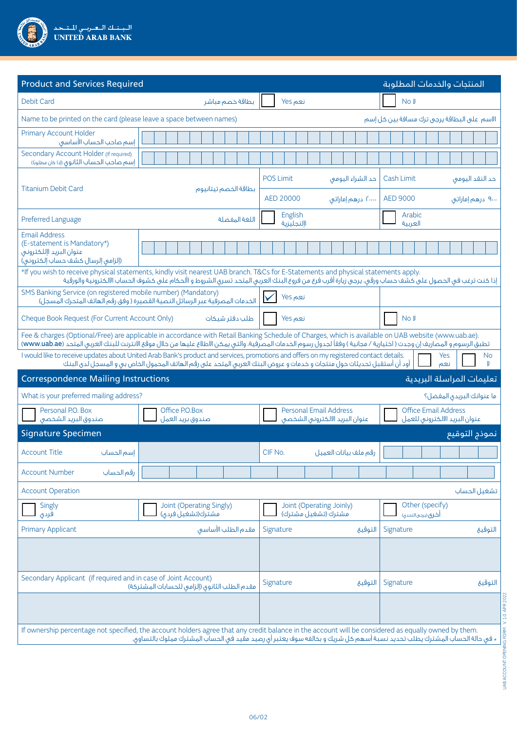| سنسك البغيرسي لليتبحدا<br>UNITED ARAB BANK |
|--------------------------------------------|
|                                            |

| <b>Product and Services Required</b>                                                                                |                                                                                                                                                                                                                                                                                                                                |                                                                 | المنتجات والخدمات المطلوبة                                   |  |  |  |
|---------------------------------------------------------------------------------------------------------------------|--------------------------------------------------------------------------------------------------------------------------------------------------------------------------------------------------------------------------------------------------------------------------------------------------------------------------------|-----------------------------------------------------------------|--------------------------------------------------------------|--|--|--|
| <b>Debit Card</b>                                                                                                   | بطاقة خصم مباشر                                                                                                                                                                                                                                                                                                                | نعم Yes                                                         | No J                                                         |  |  |  |
| Name to be printed on the card (please leave a space between names)                                                 |                                                                                                                                                                                                                                                                                                                                | الاسم على البطاقة يرجى ترك مسافة بين كل إسم                     |                                                              |  |  |  |
| <b>Primary Account Holder</b><br>إسم صاحب الحساب الأساسق                                                            |                                                                                                                                                                                                                                                                                                                                |                                                                 |                                                              |  |  |  |
| Secondary Account Holder (If required)<br>إسم صاحب الحساب الثانوق (إذا كان مطلوبًا)                                 |                                                                                                                                                                                                                                                                                                                                |                                                                 |                                                              |  |  |  |
| <b>Titanium Debit Card</b>                                                                                          |                                                                                                                                                                                                                                                                                                                                | <b>POS Limit</b><br>حد الشراء اليومي                            | Cash Limit<br>حد النقد اليومي                                |  |  |  |
|                                                                                                                     | بطاقة الخصم تيتانيوم                                                                                                                                                                                                                                                                                                           | AED 20000<br>۲۰۰۰۰ درهم إماراتني                                | <b>AED 9000</b><br>۹۰۰۰ درهم إماراتني                        |  |  |  |
| Preferred Language                                                                                                  | اللغة المفضلة                                                                                                                                                                                                                                                                                                                  | English<br>االنجليزية                                           | Arabic<br>العربية                                            |  |  |  |
| <b>Email Address</b><br>(E-statement is Mandatory*)<br>عنوان البريد اإللكتروني<br>(إلزامى إلرسال كشف حساب إلكتروني) |                                                                                                                                                                                                                                                                                                                                |                                                                 |                                                              |  |  |  |
|                                                                                                                     | *If you wish to receive physical statements, kindly visit nearest UAB branch. T&Cs for E-Statements and physical statements apply.<br>إذا كنت ترغب في الحصول على كشف حساب ورقي، يرجى زيارة أقرب فرع من فروع البنك العربي المتحد تسرى الشروط و األحكام على كشوف الحساب الالكترونية والورقية                                     |                                                                 |                                                              |  |  |  |
| SMS Banking Service (on registered mobile number) (Mandatory)                                                       | الخدمات المصرفية عبر الرسائل النصية القصيرة ( وفق رقم الهاتف المتحرك المسجل)                                                                                                                                                                                                                                                   | نعم Yes                                                         |                                                              |  |  |  |
| Cheque Book Request (For Current Account Only)                                                                      | طلب دفتر شيكات                                                                                                                                                                                                                                                                                                                 | نعم Yes                                                         | No J                                                         |  |  |  |
|                                                                                                                     | Fee & charges (Optional/Free) are applicable in accordance with Retail Banking Schedule of Charges, which is available on UAB website (www.uab.ae).<br>تطبق الرسوم و المصاريف إن وجدت ( اختيارية / مجانية ) وفقاً لجدول رسوم الخدمات المصرفية، والتي يمكن الاطلاع عليها من خالل موقع الانترنت للبنك العربي المتحد (www.uab.ae) |                                                                 |                                                              |  |  |  |
|                                                                                                                     | I would like to receive updates about United Arab Bank's product and services, promotions and offers on my registered contact details.<br>أود أن أستقبل تحديثات حول منتجات و خدمات و عروض البنك العربى المتحد على رقم الهاتف المحمول الخاص بى و المسجل لدى البنك                                                               |                                                                 | Yes<br><b>No</b><br>نعم                                      |  |  |  |
|                                                                                                                     | <b>Correspondence Mailing Instructions</b><br>تعليمات المراسلة البريدية                                                                                                                                                                                                                                                        |                                                                 |                                                              |  |  |  |
| What is your preferred mailing address?                                                                             |                                                                                                                                                                                                                                                                                                                                |                                                                 | ما عنوانك البريدق المفضل؟                                    |  |  |  |
| Personal P.O. Box<br>صندوق البريد الشخصى                                                                            | Office P.O.Box<br>صندوق بريد العمل                                                                                                                                                                                                                                                                                             | <b>Personal Email Address</b><br>عنوان البريد الالكترونى الشخصى | <b>Office Email Address</b><br>عنوان البريد الالكترونى للعمل |  |  |  |
| <b>Signature Specimen</b>                                                                                           |                                                                                                                                                                                                                                                                                                                                |                                                                 | نموذج التوقيع                                                |  |  |  |
| <b>Account Title</b><br>إسم الحساب                                                                                  |                                                                                                                                                                                                                                                                                                                                | رقم ملف بيانات العميل<br>CIF No.                                |                                                              |  |  |  |
| <b>Account Number</b><br>رقم الحساب                                                                                 |                                                                                                                                                                                                                                                                                                                                |                                                                 |                                                              |  |  |  |
| <b>Account Operation</b>                                                                                            |                                                                                                                                                                                                                                                                                                                                |                                                                 | تشغيل الحساب                                                 |  |  |  |
| Singly<br>فردی                                                                                                      | Joint (Operating Singly)<br>مشترك(تشغيل فردق)                                                                                                                                                                                                                                                                                  | Joint (Operating Joinly)<br>مشترك (تشغيل مشترك)                 | Other (specify)<br>أخرى (يرجى التحدي)                        |  |  |  |
| <b>Primary Applicant</b>                                                                                            | مقدم الطلب الأساسق                                                                                                                                                                                                                                                                                                             | Signature<br>التوقيع                                            | Signature<br>التوقيع                                         |  |  |  |
|                                                                                                                     |                                                                                                                                                                                                                                                                                                                                |                                                                 |                                                              |  |  |  |
| Secondary Applicant (if required and in case of Joint Account)                                                      | مقدم الطلب الثانوق (إلزامي للحسابات المشتركة)                                                                                                                                                                                                                                                                                  | Signature<br>التوقيع                                            | Signature<br>التوقيع                                         |  |  |  |
|                                                                                                                     |                                                                                                                                                                                                                                                                                                                                |                                                                 |                                                              |  |  |  |
|                                                                                                                     | If ownership percentage not specified, the account holders agree that any credit balance in the account will be considered as equally owned by them.<br>× في حالة الحساب المشترك يطلب تحديد نسبة أسهم كل شريك و بخالفه سوف يعتبر أي رصيد مقيد في الحساب المشترك مملوك بالتساوي.                                                |                                                                 |                                                              |  |  |  |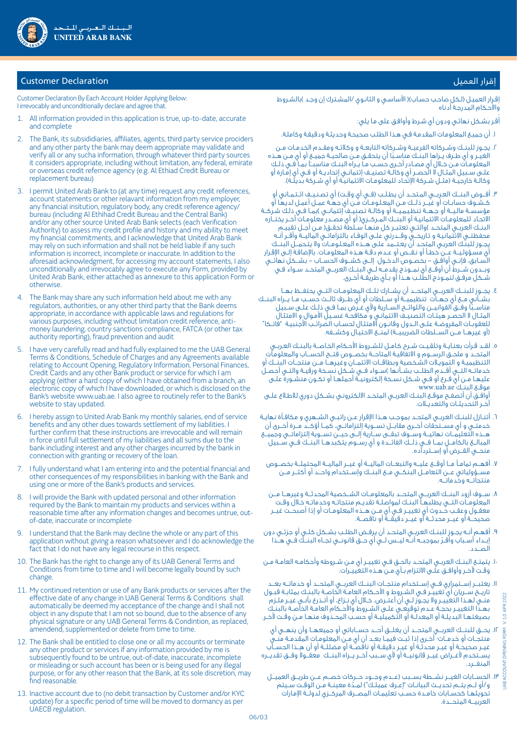

# إقرار العميل العميل المستخدمات المستخدمات المستخدمات المستخدمات المستخدمات المستخدمات المستخدمات المستخدمات ال

Customer Declaration By Each Account Holder Applying Below: I irrevocably and unconditionally declare and agree that.

- 1. All information provided in this application is true, up-to-date, accurate and complete
- 2. The Bank, its subsididiaries, affiliates, agents, third party service prociders and any other party the bank may deem appropriate may validate and verify all or any sucha information, through whatever third party sources it considers appropriate, including without limitation, any federal, emirate or overseas credit refernce agency (e.g. Al Ethiad Credit Bureau or replacement bureau)
- 3. I permit United Arab Bank to (at any time) request any credit references, account statements or other relavant information from my employer, any financial insitution, regulatory body, any credit reference agency/ bureau (including Al Ethihad Credit Bureau and the Central Bank) and/or any other source United Arab Bank selects (each Verification Authority) to assess my credit profile and history and my ability to meet my financial commitments, and I acknowledge that United Arab Bank may rely on such information and shall not be held liable if any such information is incorrect, incomplete or inaccurate. In addition to the aforesaid acknowledgment, for accessing my account statements, I also unconditionally and irrevocably agree to execute any Form, provided by United Arab Bank, either attached as annexure to this application Form or otherwise.
- 4. The Bank may share any such information held about me with any regulators, authorities, or any other third party that the Bank deems appropriate, in accordance with applicable laws and regulations for various purposes, including without limitation credit reference, antimoney laundering, country sanctions compliance, FATCA (or other tax authority reporting), fraud prevention and audit
- 5. I have very carefully read and had fully explained to me the UAB General Terms & Conditions, Schedule of Charges and any Agreements available relating to Account Opening, Regulatory Information, Personal Finances, Credit Cards and any other Bank product or service for which I am applying (either a hard copy of which I have obtained from a branch, an electronic copy of which I have downloaded, or which is disclosed on the Bank's website www.uab.ae. I also agree to routinely refer to the Bank's website to stay updated.
- 6. I hereby assign to United Arab Bank my monthly salaries, end of service benefits and any other dues towards settlement of my liabilities. I further confirm that these instructions are irrevocable and will remain in force until full settlement of my liabilities and all sums due to the bank including interest and any other charges incurred by the bank in connection with granting or recovery of the loan.
- 7. I fully understand what I am entering into and the potential financial and other consequences of my responsibilities in banking with the Bank and using one or more of the Bank's products and services.
- I will provide the Bank with updated personal and other information required by the Bank to maintain my products and services within a reasonable time after any information changes and becomes untrue, outof-date, inaccurate or incomplete
- 9. I understand that the Bank may decline the whole or any part of this application without giving a reason whatsoever and I do acknowledge the fact that I do not have any legal recourse in this respect.
- 10. The Bank has the right to change any of its UAB General Terms and Conditions from time to time and I will become legally bound by such change.
- 11. My continued retention or use of any Bank products or services after the effective date of any change in UAB General Terms & Conditions shall automatically be deemed my acceptance of the change and I shall not object in any dispute that I am not so bound, due to the absence of any physical signature or any UAB General Terms & Condintion, as replaced, amendend, supplemented or delete from time to time.
- 12. The Bank shall be entitled to close one or all my accounts or terminate any other product or services if any information provided by me is subsequently found to be untrue, out-of-date, inaccurate, incomplete or misleading or such account has been or is being used for any illegal purpose, or for any other reason that the Bank, at its sole discretion, may find reasonable.
- 13. Inactive account due to (no debit transaction by Customer and/or KYC update) for a specific period of time will be moved to dormancy as per UAECB regulation.

إقـرار العميـل (لـكل صاحـب حسـاب)( الأساسـى و الثانـوي /المشـترك إن وجـد )بالشـروط واألحـكام المدرجـة أدناه

ُقـر بشـكل نهائـي ودون أي شـرط وأوافـق على مـا يلي: أ

- . أن جميـع المعلومـات المقدمـة فـي هـذا الطلـب صحيحـة وحديثـة ودقيقـة وكاملـة.
- r. يجــوز للبنــك وشــركاته الفرعيــة وشــركاته التابعــة و وكلائـه ومقــدم الخدمـات مــن<br>الغيــر و أى طـرف يــراها البنــك مناسـبًا أن يتحقـق مــن صالحيــة جميــع أو أى مــن هــذه الغيــر و اي طـرف يــراها البنــك مناسـبًا ان يتحقـق مــن صالحيــة جميــع او اي مــن هــذه<br>المعلومـات مــن خــلال أي مصــادر أخــرى حســب مـا يــراه البنــك مناسبـــآ بمــا فــى ذلــك ً علــى ســبيل المثـال لا الحصـر اي وكالــة تصنيــف إئتمانــى إتحاديــة او فــي اي إمـارة او وكالــة خارجيــة (مثــل شــركة الإتحـاد للمعلومـات الائتمانيـة او اي شــركة بديلــة).
- . أفـــوض البنـــك العـربـــي المـتحــد أن يطـلــب )فــي أي وقــت( أي تصـنـيــف ائــتـمــاني أو كــشــوف حسابــات أو غيـــر ذلـــك مــن المعـلـومـــات مــن أي جهــة عمــل أعمـل لديهـا أو مؤسسـة ماليـــة أو جـهــة تنظيـميــة أو وكالــة تصنِيـف إئتمانــى )بمـا فــى ذلـك شـركــة االتحـاد للمعلومــات االئتمانيـة أو البنـــك المــركـــزي) أو أي مصــدر معلومــات آخــر يختـــاره البنــك العربــى المتحــد )والتــى تعتبــر كل منهــا ســلطة تحقــق( مـن أجــل تقييــم محفظتــي الائتمانيـة و تـاريخــق وقــدرتي علــي الوفـاء بالتزاماتــي الماليــة وأقــر أنــه يجــوز للبنـك العربـي المتحـد أن يعـتـــمد علـى هـــذه المعـلـومـــات وال يتـحمـــل البنـــك أي مسـؤولـيـــة عـــن خطــأ أو نـقـــص أو عــدم دقــة هــذه المعلومــات. باإلضافـة إلــى اإلقـرار الســابق، فإنــي أوافــق - بخصــوص الدخــول إلـــى كشـــوف الحســـاب - بشـــكل نهائـــي وبـــدون شـــرط أن أوقـــع أي نمـــوذج يقدمـــه لـــي البنـــك العربـــي المتحــد ســواء فــي شــكل مرفــق لنمــوذج الطلــب هــذا أو بــأي طريقــة أخــرى.
- . يجـــوز للبنـــك العربـــي المتحـــد أن يشـــارك تلـــك المعلومـــات التـــي يحتفـــظ بهـــا بشــأني مــع أي جـهــآت تنظيميــة أو ســـلطات أو أي طـــرف ثالــث حســب مــا يــراه البنــك<br>مناســبا وفــق القوانيــن واللوائــح الســارية ولأي غــرض بمــا فـي ذلٍـك عـلـى سـبيل مناســبًا وفــق القوانيــن واللوائــح الســارية ولاي غــرض بمــا فــي ذلـك علــى ســبيل<br>المثــال لا الحصــر هيئــات التصنيــف الائتمانـى و مكافحــة غســيل الأمـوال و الامتثـال للعقوبــات المفروضــة عـلــى الــدول وقانــون الامتثـال لحســاب الضرائـب الاجنبيـة "فاتــكا" (أو غيرهــا مــن الســلطات الضريبيــة) لمنــع الاحتيـال وكشــفه.
- . لقــد قـرأت بعنـايــة وتلقـيــت شــرح كـامــل للشــروط األحـكام الخـاصـــة بالبنــك العـربــي المتحــد و ملحــق الرســـوم و االتفاقيـة المتاحـــة بخصـــوص فتـــح الحســــاب والمعلومـات التنظيميـة و التمويـات الشـخصية وبطاقـــات االئتمـــان وغيرهـــا مـــن منتجـــات البنـــك أو خدماتــه التـــق أقــدم الطلــب بشــأنـها )ســواء فــي شــكل نسـخة ورقيــة والتــي أحصـل عليهــا مــن أي فــرع أو فــي شــكل نســخة إلكترونيــة أحملهــا أو تكــون منشــورة علــى www.uab.ae البنــك موقــع أوافــق أن أتصفــح موقــع البنــك العربــي المتحــد االلكترونـي بشــكل دوري لالطـاع علــى

آخــر التحديثــات والتعديــات.

- . أتنــازل للبنــك العربــي المتحــد بموجــب هــذا اإلقرار عــن راتبــي الشــهري و مكافــأة نهايــة خدمتــي و أي مســتحقات أخــرى مقابــل تســوية إلتزاماتــي، كمــا أؤكــد مــرة أخــرى أن هـــذه التعليمـــات نهائيـــة وســـوف تبقـــى ســـارية إلـــى حيـــن تســـوية إلتزاماتـــي وجميـــع المبالـــغ بالكامـــل بمـــا فـــي ذلـــك الفائـــدة و أي رســـوم يتكبدهـــا البنـــك فـــي ســـبيل منحـــي القـــرض أو إســـترداده.
- . أفهـــم تمامــً مـــا أوقـــع عليـــه والتبعـــات الماليـــة أو غيـــر الماليـــة المحتملـــة بخصـــوص مســـؤولياتي عـــن التعامـــل البنكـــي مـــع البنـــك وإســـتخدام واحـــد أو أكثـــر مـــن منتجاتـــه وخدماتـــه.
- . ســـوف أزود البنـــك العربـــي المتحـــد بالمعلومـــات الشـــخصية المحدثـــة وغيرهـــا مـــن المعلومـــات التـــي يطلبهــا البنــك لمواصلــة تقديــم منتجاتــه وخدماتــه خـال وقــت معقــول وعقــب حـّــدوث أي تغييــر فــي أي مــن هــذه المعلومــات أو إذا أصبحــت غيــر صحيحـــة أو غيـــر محدثـــة أو غيـــر دقيقـــة أو ناقصـــة.
- . أفهــم أنــه يجــوز للبنــك العربــي المتحــد أن يرفــض الطلــب بشــكل كلــي أو جزئــي دون إبــداء أســباب وأقــرّ بموجبــه أنــه ليــس لــي أي حــق قانونــي تجــاه البنــك فــي هــَذا<br>المــدد
- 10.يتمتــع البنــك العربــي المتحــد بالحــق فــي تغييــر أي مــن شــروطه وأحكامــه العامــة مــن وقــت آلخــر وأوافــق علــى االلتزام بــأي مــن هــذه التغييــرات.
- 11.يعتبـــر إســـتمراري فـــي إســـتخدام منتجـــات البنـــك العربـــي المتحـــد أو خدماتـــه بعـــد تاريـــخ ســـريان أي تغييــر فــي الشــروط و األحــكام العامــة الخاصــة بالبنــك بمثابــة قبــول منــي لهــذا التغييــر وال يجــوز لــي أن أعتــرض، خــال أي نــزاع، أو أتــذرع بأنــي غيــر ملــزم بهــذا التغييــر بحجــة عــدم توقيعــى علــى الشــروط والاحــكام العامــة الخاصــة بالبنــك بصيغتهـا البديلــة او المعدلــة او التكميليــة او حســب المحــذوف منهـا مــن وقــت لاخـر.
- 12.يحـــق للبنـــك العربـــي المتحـــد أن يغلـــق أحـــد حســـاباتي أو جميعهـــا وأن ينهـــي أي منتجــات او خدمــات ُ اخــرى إذا ثبــت فيمــا بعــد ان اي مـن المعلومــات المقدمــة منــي .<br>. غيــر صحيحــة او غيــر محدثـة او غيــر دقيقــة او ناقصــة او مضللــة او ان هـــذا الحســاب يســتخدم لأغــراض غيــر قانونيــة أو لأي ســبب آخــر يــراه البنــك معقــولا وفــق تقديــره المنفـــرد.
	- 13.الحســـابات الغيـــر نشـــطة بســـبب )عـــدم وجـــود حـــركات خصـــم عـــن طريـــق العميـــل و/أو لــم يتــم تحديــث البيانــات "إعـرف عميلـك") لمــدّة معينــة مــن الوقــت سـيتم<br>تحويلهـا كحسـابات خامــدة حســب تعليمـات المصــرف المركــزى لدولــة الإمارات<br>تحويلهـا كحسـابات خامــدة حســب تعليمـات المصــرف المركــز العربيـــة المتحـــدة.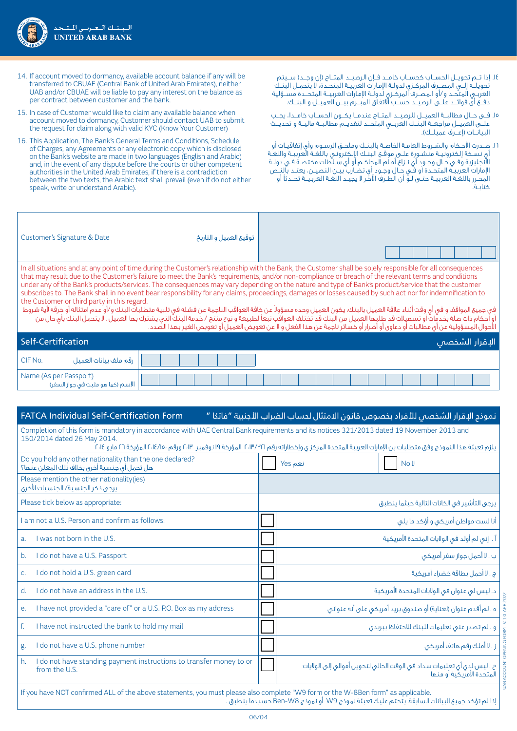

- 14.إذا تـــم تحويـــل الحســـاب كحســـاب خامـــد فـــإن الرصيـــد المتـــاح )إن وجـــد) ســـيتم تحويلـــه إلـــي المصـــرف المركــزي لدولــة اإلمـارات العربيــة المتحــدة، ال يتحمــل البنــك العربــي المتحــد و/أو المصــرف المركــزي لدولــة اإلمـارات العربيـــة المتحـــدة مســـؤلية دفـــع أى فوائـــد علـــى الرصيـــد حســـب االتفـاق المبـــرم بيـــن العميـــل و البنـــك.
- 15.فـــى حـــال مطالبـــة العميـــل للرصيـــد المتـــاح عندمـــا يكـــون الحســـاب خامـــدا، يجـــب علـــى العميـــل مراجعـــة البنـــك العربـــي المتحـــد لتقديـــم مطالبـــة ماليـــة و تحديـــث البيانــات (إعــرف عميلــك).
- 16.صــدرت األحـكام والشــروط العامــة الخاصــة بالبنــك وملحــق الرســوم وأي إتفاقيــات أو أي نسـخة إلكترونيــة منشـورة علــى موقـع البنــك الإلكترونـي باللغـة العربيــة واللغـة االنجليزية وفــي حــال وجــود أي نــزاع أمــام المحاكــم أو أي ســلطات مختصــة فــي دولــة الإمارات العربيــة المتحــدة أو فــّي حـال وجـود أي تضــارب بيــن النـصيــن، يعتــد بالنــص المحــرر باللغــة العربيــة حتــى لــو أن الطــرف اآلخـر ال يجيــد اللغــة العربـيـــة تحـــدثًا أو كتابــة.
- 14. If account moved to dormancy, available account balance if any will be transferred to CBUAE (Central Bank of United Arab Emirates), neither UAB and/or CBUAE will be liable to pay any interest on the balance as per contract between customer and the bank.
- 15. In case of Customer would like to claim any available balance when account moved to dormancy, Customer should contact UAB to submit the request for claim along with valid KYC (Know Your Customer)
- 16. This Application, The Bank's General Terms and Conditions, Schedule of Charges, any Agreements or any electronic copy which is disclosed on the Bank's website are made in two languages (English and Arabic) and, in the event of any dispute before the courts or other competent authorities in the United Arab Emirates, if there is a contradiction between the two texts, the Arabic text shall prevail (even if do not either speak, write or understand Arabic).

| Customer's Signature & Date                                                                                                                                                                                                                                                                                                                                                                                                                                                                                                                                                                                                                                                                                                                                                                                                                                                                                             | توقيع العميل و التاريخ |                         |  |  |
|-------------------------------------------------------------------------------------------------------------------------------------------------------------------------------------------------------------------------------------------------------------------------------------------------------------------------------------------------------------------------------------------------------------------------------------------------------------------------------------------------------------------------------------------------------------------------------------------------------------------------------------------------------------------------------------------------------------------------------------------------------------------------------------------------------------------------------------------------------------------------------------------------------------------------|------------------------|-------------------------|--|--|
| In all situations and at any point of time during the Customer's relationship with the Bank, the Customer shall be solely responsible for all consequences<br>that may result due to the Customer's failure to meet the Bank's requirements, and/or non-compliance or breach of the relevant terms and conditions<br>under any of the Bank's products/services. The consequences may vary depending on the nature and type of Bank's product/service that the customer<br>subscribes to. The Bank shall in no event bear responsibility for any claims, proceedings, damages or losses caused by such act nor for indemnification to<br>the Customer or third party in this regard.<br>  في جميع المواقف و في أي وقت أثناء علاقة العميل بالبنك، يكون العميل وحده مسؤولاً عن كافة العراقب النائب في تلبية متطلبات البنك و/أو عدم امتثاله أو خرقه لأية شروط<br>  أو أحكام ذات صلة بخدمات أو تسميلات قد طلبها العميل من ال |                        |                         |  |  |
| Self-Certification                                                                                                                                                                                                                                                                                                                                                                                                                                                                                                                                                                                                                                                                                                                                                                                                                                                                                                      |                        | ا <u>لا</u> قرار الشخصص |  |  |
|                                                                                                                                                                                                                                                                                                                                                                                                                                                                                                                                                                                                                                                                                                                                                                                                                                                                                                                         |                        |                         |  |  |

| ' CIF No.<br>ُ رقم ملف بيانات العميل                            |  |
|-----------------------------------------------------------------|--|
| Name (As per Passport)<br>.   الاسم (كما هو مثبت في جواز السفر) |  |

# نموذج الإقرار الشخصي للأفراد بخصوص قانون الامتثال لحساب الضراب الأجنبية "فاتكا " \_\_\_\_\_\_\_\_\_\_\_\_\_\_\_\_\_\_\_<br>نموذج الإقرار الشخصي للأفراد بخصوص قانون الامتثال لحساب الضراب الأجنبية "فاتكا "

Completion of this form is mandatory in accordance with UAE Central Bank requirements and its notices 321/2013 dated 19 November 2013 and 150/2014 dated 26 May 2014.

| يلزم تعبئة هذا النموذج وفق متطلبات بن الإمارات العربية المتحدة المركز ى وإخطاراته رقم ٢٠١٣/٣/١٢ المؤرخة ١٩ نوفمبر ٢٠١٣، ٢ المؤرخة ٢٦ مايو ٢٠١٤، المؤرخة ٢٦ مايو ٢٠١٤ |                                                                                                     |  |  |  |  |
|----------------------------------------------------------------------------------------------------------------------------------------------------------------------|-----------------------------------------------------------------------------------------------------|--|--|--|--|
| Do you hold any other nationality than the one declared?<br>هل تحمل أي جنسية أخرق بخلاف تلك المعلن عنها؟                                                             | نعم Yes<br>No J                                                                                     |  |  |  |  |
| Please mention the other nationality(ies)<br>يرجى ذكر الجنسية/ الجنسيات الأخرى                                                                                       |                                                                                                     |  |  |  |  |
| Please tick below as appropriate:                                                                                                                                    | يرجى التأشير فى الخانات التالية حيثما ينطبق                                                         |  |  |  |  |
| am not a U.S. Person and confirm as follows:                                                                                                                         | أنا لست مواطن أمريكي و أؤكد ما يلي                                                                  |  |  |  |  |
| I was not born in the U.S.<br>a <sub>r</sub>                                                                                                                         | آ . إنى لم أولد في الولايات المتحدة الأمريكية                                                       |  |  |  |  |
| I do not have a U.S. Passport<br>b.                                                                                                                                  | ب . لا أحمل جواز سفر أمريكي                                                                         |  |  |  |  |
| do not hold a U.S. green card<br>C <sub>1</sub>                                                                                                                      | ج . لا أحمل بطاقة خضراء أمريكية                                                                     |  |  |  |  |
| do not have an address in the U.S.<br>d.                                                                                                                             | د. ليس لم عنوان فى الولايات المتحدة الأمريكية                                                       |  |  |  |  |
| I have not provided a "care of" or a U.S. P.O. Box as my address<br>е.                                                                                               | ه . لم أقدم عنوان (لعناية) أو صندوق بريد أمريكي على أنه عنواني                                      |  |  |  |  |
| I have not instructed the bank to hold my mail<br>f.                                                                                                                 | و . لم تصدر عنى تعليمات للبنك للاحتفاظ ببريدق                                                       |  |  |  |  |
| do not have a U.S. phone number<br>g.                                                                                                                                | ز . لا أملك رقم هاتف أمريكي                                                                         |  |  |  |  |
| I do not have standing payment instructions to transfer money to or<br>h.<br>from the U.S.                                                                           | ح . ليس لدى أى تعليمات سداد فى الوقت الحالى لتحويل أموالى إلى الولايات<br>المتحدة الأمريكية أو منها |  |  |  |  |
| If you have NOT confirmed ALL of the above statements, you must please also complete "W9 form or the W-8Ben form" as applicable.                                     |                                                                                                     |  |  |  |  |

إذا لم تؤكد جميع البيانات السابقة، يتحتم عليك تعبئة نموذج 9W أو نموذج 8W-Ben حسب ما ينطبق .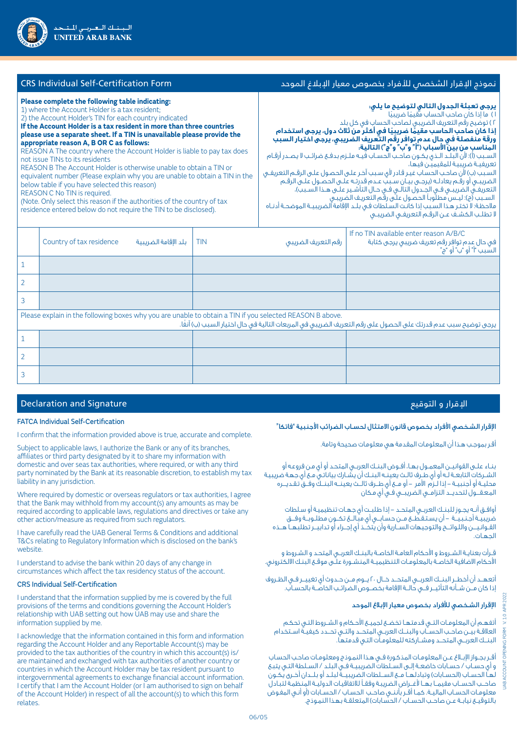| <b>CRS</b> Individual Self-Certification Form                                                                                                                                                                                                                                                                                                                                                                                                                                                                                                                                                                                                                                                                                                                                                                                                                 |   | نموذج الإقرار الشخصص للأفراد بخصوص معيار الإبلاغ الموحد |            |                                                                                                                                                                                                                                                                                                                                                                                                                                                                                                                                                                                                                                                                                                                                                                                                                                                                                                                                                                                |                                                                                                                       |  |
|---------------------------------------------------------------------------------------------------------------------------------------------------------------------------------------------------------------------------------------------------------------------------------------------------------------------------------------------------------------------------------------------------------------------------------------------------------------------------------------------------------------------------------------------------------------------------------------------------------------------------------------------------------------------------------------------------------------------------------------------------------------------------------------------------------------------------------------------------------------|---|---------------------------------------------------------|------------|--------------------------------------------------------------------------------------------------------------------------------------------------------------------------------------------------------------------------------------------------------------------------------------------------------------------------------------------------------------------------------------------------------------------------------------------------------------------------------------------------------------------------------------------------------------------------------------------------------------------------------------------------------------------------------------------------------------------------------------------------------------------------------------------------------------------------------------------------------------------------------------------------------------------------------------------------------------------------------|-----------------------------------------------------------------------------------------------------------------------|--|
| Please complete the following table indicating:<br>1) where the Account Holder is a tax resident;<br>2) the Account Holder's TIN for each country indicated<br>If the Account Holder is a tax resident in more than three countries<br>please use a separate sheet. If a TIN is unavailable please provide the<br>appropriate reason A, B OR C as follows:<br>REASON A The country where the Account Holder is liable to pay tax does<br>not issue TINs to its residents<br>REASON B The Account Holder is otherwise unable to obtain a TIN or<br>equivalent number (Please explain why you are unable to obtain a TIN in the<br>below table if you have selected this reason)<br>REASON C No TIN is required.<br>(Note. Only select this reason if the authorities of the country of tax<br>residence entered below do not require the TIN to be disclosed). |   |                                                         |            | <b>يرجى تعبئة الجدول التالي لتوضيح ما يلي:</b><br>١) ما إذا كان صاحب الحساب مقيمًا ضريبيًا<br>٢) توضيح رقم التعريف الضريبي لصاحب الحساب في كل بلد<br>إذا كان صاحب الحاسب مقيمًا ضريبيًا في أكثر من ثلاث دول، يرجى استخدام<br>ورقة منفصلة في حال عدم توافر رقم التعريف الضريبي، يرجى اختيار السبب<br>المناسب من بين الأسباب ('أ'' و''ب'' و''ج') التالية:<br>السـبب (آ): لأن البلـد الـذى يكـون صاحـب الحسـاب فيـه ملـزم بدفـع ضرائـب لا يصـدر آرقـام<br>تعريفيـة ضريبيـة للمقيميـن فيها،<br>السبب (ب) لأن صاحب الحساب غير قادر لأى سبب آخر على الحصول على الرقم التعريفـى<br>الضريبــى أو رقـم يعادلـه (يرجـى بيـان سـببّ عـدم قدرتـه علـى الحصـول علـى الرقـم<br>التعريفـــي الضريبـــي فـــي الجــدول التالــي فــي حــال التأشـير علــي هــذا الســبب)،<br>السـبب (ج): ليـس مطلَّوباً الحصـول علـَّى رقَّم التعريـف الضريبـى<br>ملاحظة: لا تختـر هـذا السـبب إذا كانـت السـلطات فـى بـلـد الإقامة الضريبيــة الموضحـة أدنـاه<br>لا تطلب الكشـف عـن الرقـم التعريفـى الضريبـى |                                                                                                                       |  |
|                                                                                                                                                                                                                                                                                                                                                                                                                                                                                                                                                                                                                                                                                                                                                                                                                                                               |   | Country of tax residence<br>بلد الإقامة الضريبية        | <b>TIN</b> | رقم التعريف الضريبى                                                                                                                                                                                                                                                                                                                                                                                                                                                                                                                                                                                                                                                                                                                                                                                                                                                                                                                                                            | If no TIN available enter reason A/B/C<br>في حال عدم توافر رقم تعريف ضريبي يرجى كتابة<br>السَّبب ۗ "أ" أو "ب ّ أو "ج" |  |
|                                                                                                                                                                                                                                                                                                                                                                                                                                                                                                                                                                                                                                                                                                                                                                                                                                                               |   |                                                         |            |                                                                                                                                                                                                                                                                                                                                                                                                                                                                                                                                                                                                                                                                                                                                                                                                                                                                                                                                                                                |                                                                                                                       |  |
|                                                                                                                                                                                                                                                                                                                                                                                                                                                                                                                                                                                                                                                                                                                                                                                                                                                               | 2 |                                                         |            |                                                                                                                                                                                                                                                                                                                                                                                                                                                                                                                                                                                                                                                                                                                                                                                                                                                                                                                                                                                |                                                                                                                       |  |
|                                                                                                                                                                                                                                                                                                                                                                                                                                                                                                                                                                                                                                                                                                                                                                                                                                                               | 3 |                                                         |            |                                                                                                                                                                                                                                                                                                                                                                                                                                                                                                                                                                                                                                                                                                                                                                                                                                                                                                                                                                                |                                                                                                                       |  |
|                                                                                                                                                                                                                                                                                                                                                                                                                                                                                                                                                                                                                                                                                                                                                                                                                                                               |   |                                                         |            |                                                                                                                                                                                                                                                                                                                                                                                                                                                                                                                                                                                                                                                                                                                                                                                                                                                                                                                                                                                |                                                                                                                       |  |

| Please explain in the following boxes why you are unable to obtain a TIN if you selected REASON B above.<br>يرجى توضيح سبب عدم قدرتك على الحصول على رقم التعريف الضريبى فى المربعات التالية فى حال اختيار السبب (ب) آنفًا. |  |  |  |  |
|----------------------------------------------------------------------------------------------------------------------------------------------------------------------------------------------------------------------------|--|--|--|--|
|                                                                                                                                                                                                                            |  |  |  |  |
|                                                                                                                                                                                                                            |  |  |  |  |
|                                                                                                                                                                                                                            |  |  |  |  |

# الإقرار و التوقيع المستقلة المستقلة المستقلة المستقلة التي تعالى المستقلة التي تعالى التوقيع المستقلة المستقلة

### FATCA Individual Self-Certification

I confirm that the information provided above is true, accurate and complete.

Subject to applicable laws, I authorize the Bank or any of its branches, affiliates or third party designated by it to share my information with domestic and over seas tax authorities, where required, or with any third party nominated by the Bank at its reasonable discretion, to establish my tax liability in any jurisdiction.

Where required by domestic or overseas regulators or tax authorities, I agree that the Bank may withhold from my account(s) any amounts as may be required according to applicable laws, regulations and directives or take any other action/measure as required from such regulators.

I have carefully read the UAB General Terms & Conditions and additional T&Cs relating to Regulatory Information which is disclosed on the bank's website.

I understand to advise the bank within 20 days of any change in circumstances which affect the tax residency status of the account.

### CRS Individual Self-Certification

I understand that the information supplied by me is covered by the full provisions of the terms and conditions governing the Account Holder's relationship with UAB setting out how UAB may use and share the information supplied by me.

I acknowledge that the information contained in this form and information regarding the Account Holder and any Reportable Account(s) may be provided to the tax authorities of the country in which this account(s) is/ are maintained and exchanged with tax authorities of another country or countries in which the Account Holder may be tax resident pursuant to intergovernmental agreements to exchange financial account information. I certify that I am the Account Holder (or I am authorised to sign on behalf of the Account Holder) in respect of all the account(s) to which this form relates.

# الإقرار الشخصي الأفراد بخصوص قانون الامتثال لحسـاب الضرائب الأجنبية "فاتكا"

أقـر بموجـب هـذا أن المعلومـات المقدمة هي معلومـات صحيحة وتامة.

بنــاء علــى القوانيــن المعمــول بهــا، أفــوض البنــك العربــي المتحـد أو أي مـن فروعـه أو الشــركات التابعــة لــه أو أي طــرف ثالــث يعينــه البنــك أن يشــارك بياناتـي مــع أي جهـة ضريبيـة محليــة أو أجنبيــة - إذا لــزم األمر - أو مـــع أي طـــرف ثالـــث يعينـــه البنـــك وفـــق تـقـديــــره المعقــول لتحديــد التزامــي الضريبــي فــي أي مـكان

أوافــق أنــه يجــوز للبنــك العربــي المتحــد - إذا طلبــت أي جهــات تنظيميـة أو سـلطات ضريبيــة أجـنـبـيــة – أن يسـتـقـطــع مــن حسـابــو، أي مبـّـالــغ تكــون مطلــوبــة وفـــق القــوانـيــــن واللـوائــــح والتوجيهات الســـارية وأن يتخـــذ أي إجـــراء أو تدابيـــر تطلبهـــا هـــذه الجهــات.

قــرأت بعنايــة الشــروط و األحكام العامــة الخاصــة بالبنــك العربــي المتحـد و الشـروط و الأحكام الاضافية الخاصــة بالمعلومـات التنظيميــة المنشــورة علـَى موقـع البنـك الالكتروني.

أتعهـــد أن أخطـــر البنـــك العربـــي المتحـــد خـــال 20 يـــوم مـــن حــدوث أي تغييـــر فــي الظــروف إذا كان مـــن شـــأنه التأثيـــر فـــي حالـــة اإلقامة بخصـــوص الضرائــب الخاصـــة بالحســاب.

# اإلقرار الشـخصي لألفراد بخصوص معيار اإلبالغ الموحد

أتفهــم أن المعلومــات التــي قدمتهــا تخضــع لجميــع األحـكام و الشــروط التـي تحكـم العالقــة بيــن صاحــب الحســـاب والبنـــك العربــي المتحـــد والتــي تحـــدد كيفيــة اســتخدام البنـــك العربـــي المتحـــد ومشـــاركته للمعلومــات التـي قدمتهـا.

أقــر بجــواز اإلبــاغ عــن المعلومــات المذكـورة فــي هـذا النمـوذج ومعلومــات صاحـب الحسـاب و أي حســاب / حســابات خاضعــة إلــى الســلطات الضريبيــة فــي البلـد / الســلطة التـي يتبـع لُهـاّ الحسـاب (الحسـابات) وتبادلهـا مـع الســلطات الضريبيــةً لبلــد أو بلــدان أخـرى يـُكـون صاحـــب الحســـاب مقيمـــا بهـــا ألغـــراض الضريبـة وفقــً لالتفاقيـات الدوليــة المنظمـة لتبـادل معلومــات الحســاب الماليــة. كمــا أقــر بأننــي صاحــب الحسـاب / الحســابات )أو أنـي المفـوض بالتوقيــع نيابـة عــن صاحـب الحسـاب / الحسّابات) المتعلقـة بهـذا النمـوذج.